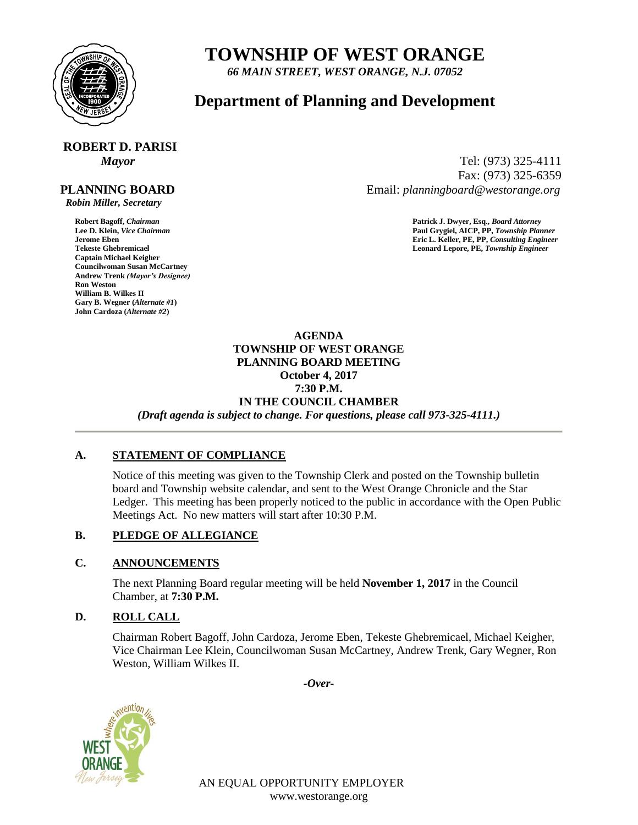

# **TOWNSHIP OF WEST ORANGE**

*66 MAIN STREET, WEST ORANGE, N.J. 07052*

## **Department of Planning and Development**

# **ROBERT D. PARISI**

#### **PLANNING BOARD**

 *Robin Miller, Secretary*

**Captain Michael Keigher Councilwoman Susan McCartney Andrew Trenk** *(Mayor's Designee)* **Ron Weston William B. Wilkes II Gary B. Wegner (***Alternate #1***) John Cardoza (***Alternate #2***)**

*Mayor* Tel: (973) 325-4111 Fax: (973) 325-6359 Email: *planningboard@westorange.org*

**Robert Bagoff,** *Chairman* **Patrick J. Dwyer, Esq.,** *Board Attorney* **Lee D. Klein,** *Vice Chairman* **Paul Grygiel, AICP, PP,** *Township Planner* **Jerome Eben Eric L. Keller, PE, PP,** *Consulting Engineer* Leonard Lepore, PE, Township Engineer

> **AGENDA TOWNSHIP OF WEST ORANGE PLANNING BOARD MEETING October 4, 2017 7:30 P.M. IN THE COUNCIL CHAMBER** *(Draft agenda is subject to change. For questions, please call 973-325-4111.)*

#### **A. STATEMENT OF COMPLIANCE**

Notice of this meeting was given to the Township Clerk and posted on the Township bulletin board and Township website calendar, and sent to the West Orange Chronicle and the Star Ledger. This meeting has been properly noticed to the public in accordance with the Open Public Meetings Act. No new matters will start after 10:30 P.M.

#### **B. PLEDGE OF ALLEGIANCE**

#### **C. ANNOUNCEMENTS**

The next Planning Board regular meeting will be held **November 1, 2017** in the Council Chamber, at **7:30 P.M.**

### **D. ROLL CALL**

Chairman Robert Bagoff, John Cardoza, Jerome Eben, Tekeste Ghebremicael, Michael Keigher, Vice Chairman Lee Klein, Councilwoman Susan McCartney, Andrew Trenk, Gary Wegner, Ron Weston, William Wilkes II.

*-Over-*



AN EQUAL OPPORTUNITY EMPLOYER www.westorange.org